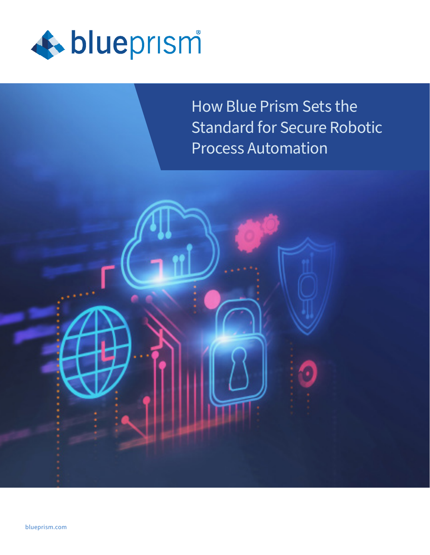

How Blue Prism Sets the Standard for Secure Robotic Process Automation

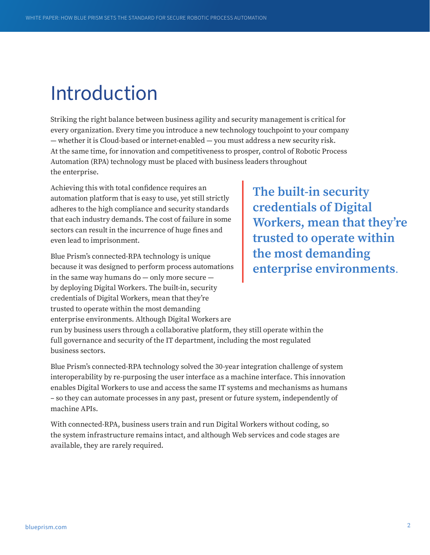## Introduction

Striking the right balance between business agility and security management is critical for every organization. Every time you introduce a new technology touchpoint to your company — whether it is Cloud-based or internet-enabled — you must address a new security risk. At the same time, for innovation and competitiveness to prosper, control of Robotic Process Automation (RPA) technology must be placed with business leaders throughout the enterprise.

Achieving this with total confidence requires an automation platform that is easy to use, yet still strictly adheres to the high compliance and security standards that each industry demands. The cost of failure in some sectors can result in the incurrence of huge fines and even lead to imprisonment.

Blue Prism's connected-RPA technology is unique because it was designed to perform process automations in the same way humans do — only more secure by deploying Digital Workers. The built-in, security credentials of Digital Workers, mean that they're trusted to operate within the most demanding enterprise environments. Although Digital Workers are

**The built-in security credentials of Digital Workers, mean that they're trusted to operate within the most demanding enterprise environments**.

run by business users through a collaborative platform, they still operate within the full governance and security of the IT department, including the most regulated business sectors.

Blue Prism's connected-RPA technology solved the 30-year integration challenge of system interoperability by re-purposing the user interface as a machine interface. This innovation enables Digital Workers to use and access the same IT systems and mechanisms as humans – so they can automate processes in any past, present or future system, independently of machine APIs.

With connected-RPA, business users train and run Digital Workers without coding, so the system infrastructure remains intact, and although Web services and code stages are available, they are rarely required.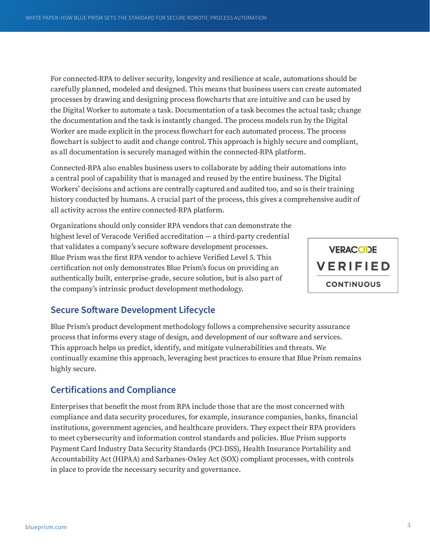For connected-RPA to deliver security, longevity and resilience at scale, automations should be carefully planned, modeled and designed. This means that business users can create automated processes by drawing and designing process flowcharts that are intuitive and can be used by the Digital Worker to automate a task. Documentation of a task becomes the actual task; change the documentation and the task is instantly changed. The process models run by the Digital Worker are made explicit in the process flowchart for each automated process. The process flowchart is subject to audit and change control. This approach is highly secure and compliant, as all documentation is securely managed within the connected-RPA platform.

Connected-RPA also enables business users to collaborate by adding their automations into a central pool of capability that is managed and reused by the entire business. The Digital Workers' decisions and actions are centrally captured and audited too, and so is their training history conducted by humans. A crucial part of the process, this gives a comprehensive audit of all activity across the entire connected-RPA platform.

Organizations should only consider RPA vendors that can demonstrate the highest level of Veracode Verified accreditation — a third-party credential that validates a company's secure software development processes. Blue Prism was the first RPA vendor to achieve Verified Level 5. This certification not only demonstrates Blue Prism's focus on providing an authentically built, enterprise-grade, secure solution, but is also part of the company's intrinsic product development methodology.



## **Secure Software Development Lifecycle**

Blue Prism's product development methodology follows a comprehensive security assurance process that informs every stage of design, and development of our software and services. This approach helps us predict, identify, and mitigate vulnerabilities and threats. We continually examine this approach, leveraging best practices to ensure that Blue Prism remains highly secure.

## **Certifications and Compliance**

Enterprises that benefit the most from RPA include those that are the most concerned with compliance and data security procedures, for example, insurance companies, banks, financial institutions, government agencies, and healthcare providers. They expect their RPA providers to meet cybersecurity and information control standards and policies. Blue Prism supports Payment Card Industry Data Security Standards (PCI-DSS), Health Insurance Portability and Accountability Act (HIPAA) and Sarbanes-Oxley Act (SOX) compliant processes, with controls in place to provide the necessary security and governance.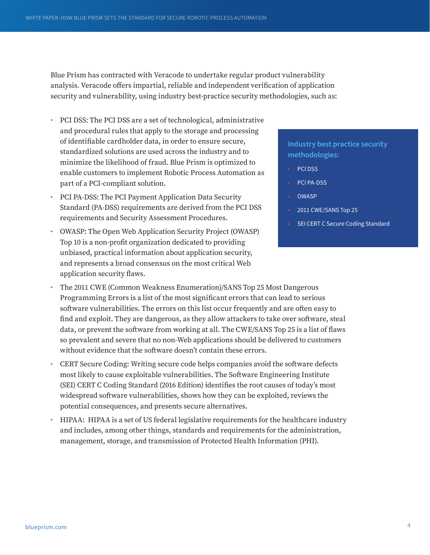Blue Prism has contracted with Veracode to undertake regular product vulnerability analysis. Veracode offers impartial, reliable and independent verification of application security and vulnerability, using industry best-practice security methodologies, such as:

- PCI DSS: The PCI DSS are a set of technological, administrative and procedural rules that apply to the storage and processing of identifiable cardholder data, in order to ensure secure, standardized solutions are used across the industry and to minimize the likelihood of fraud. Blue Prism is optimized to enable customers to implement Robotic Process Automation as part of a PCI-compliant solution.
- PCI PA-DSS: The PCI Payment Application Data Security Standard (PA-DSS) requirements are derived from the PCI DSS requirements and Security Assessment Procedures.
- OWASP: The Open Web Application Security Project (OWASP) Top 10 is a non-profit organization dedicated to providing unbiased, practical information about application security, and represents a broad consensus on the most critical Web application security flaws.

## • The 2011 CWE (Common Weakness Enumeration)/SANS Top 25 Most Dangerous Programming Errors is a list of the most significant errors that can lead to serious software vulnerabilities. The errors on this list occur frequently and are often easy to find and exploit. They are dangerous, as they allow attackers to take over software, steal data, or prevent the software from working at all. The CWE/SANS Top 25 is a list of flaws so prevalent and severe that no non-Web applications should be delivered to customers without evidence that the software doesn't contain these errors.

- CERT Secure Coding: Writing secure code helps companies avoid the software defects most likely to cause exploitable vulnerabilities. The Software Engineering Institute (SEI) CERT C Coding Standard (2016 Edition) identifies the root causes of today's most widespread software vulnerabilities, shows how they can be exploited, reviews the potential consequences, and presents secure alternatives.
- HIPAA: HIPAA is a set of US federal legislative requirements for the healthcare industry and includes, among other things, standards and requirements for the administration, management, storage, and transmission of Protected Health Information (PHI).

## **Industry best practice security methodologies:**

- PCI DSS
- PCI PA-DSS
- **OWASP**
- 2011 CWE/SANS Top 25
- SEI CERT C Secure Coding Standard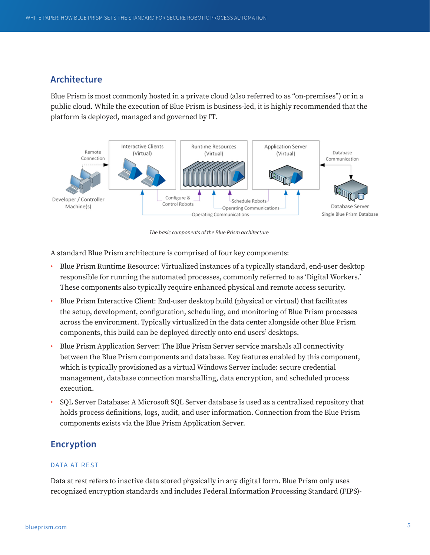## **Architecture**

Blue Prism is most commonly hosted in a private cloud (also referred to as "on-premises") or in a public cloud. While the execution of Blue Prism is business-led, it is highly recommended that the platform is deployed, managed and governed by IT.



*The basic components of the Blue Prism architecture*

A standard Blue Prism architecture is comprised of four key components:

- Blue Prism Runtime Resource: Virtualized instances of a typically standard, end-user desktop responsible for running the automated processes, commonly referred to as 'Digital Workers.' These components also typically require enhanced physical and remote access security.
- Blue Prism Interactive Client: End-user desktop build (physical or virtual) that facilitates the setup, development, configuration, scheduling, and monitoring of Blue Prism processes across the environment. Typically virtualized in the data center alongside other Blue Prism components, this build can be deployed directly onto end users' desktops.
- Blue Prism Application Server: The Blue Prism Server service marshals all connectivity between the Blue Prism components and database. Key features enabled by this component, which is typically provisioned as a virtual Windows Server include: secure credential management, database connection marshalling, data encryption, and scheduled process execution.
- SQL Server Database: A Microsoft SQL Server database is used as a centralized repository that holds process definitions, logs, audit, and user information. Connection from the Blue Prism components exists via the Blue Prism Application Server.

## **Encryption**

## DATA AT REST

Data at rest refers to inactive data stored physically in any digital form. Blue Prism only uses recognized encryption standards and includes Federal Information Processing Standard (FIPS)-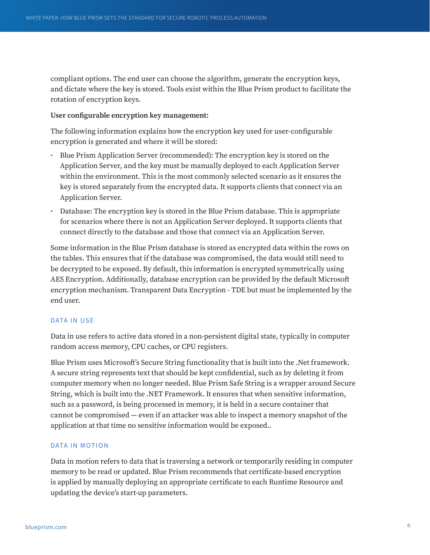compliant options. The end user can choose the algorithm, generate the encryption keys, and dictate where the key is stored. Tools exist within the Blue Prism product to facilitate the rotation of encryption keys.

## **User configurable encryption key management:**

The following information explains how the encryption key used for user-configurable encryption is generated and where it will be stored:

- Blue Prism Application Server (recommended): The encryption key is stored on the Application Server, and the key must be manually deployed to each Application Server within the environment. This is the most commonly selected scenario as it ensures the key is stored separately from the encrypted data. It supports clients that connect via an Application Server.
- Database: The encryption key is stored in the Blue Prism database. This is appropriate for scenarios where there is not an Application Server deployed. It supports clients that connect directly to the database and those that connect via an Application Server.

Some information in the Blue Prism database is stored as encrypted data within the rows on the tables. This ensures that if the database was compromised, the data would still need to be decrypted to be exposed. By default, this information is encrypted symmetrically using AES Encryption. Additionally, database encryption can be provided by the default Microsoft encryption mechanism. Transparent Data Encryption - TDE but must be implemented by the end user.

## DATA IN USE

Data in use refers to active data stored in a non-persistent digital state, typically in computer random access memory, CPU caches, or CPU registers.

Blue Prism uses Microsoft's Secure String functionality that is built into the .Net framework. A secure string represents text that should be kept confidential, such as by deleting it from computer memory when no longer needed. Blue Prism Safe String is a wrapper around Secure String, which is built into the .NET Framework. It ensures that when sensitive information, such as a password, is being processed in memory, it is held in a secure container that cannot be compromised — even if an attacker was able to inspect a memory snapshot of the application at that time no sensitive information would be exposed..

## DATA IN MOTION

Data in motion refers to data that is traversing a network or temporarily residing in computer memory to be read or updated. Blue Prism recommends that certificate-based encryption is applied by manually deploying an appropriate certificate to each Runtime Resource and updating the device's start-up parameters.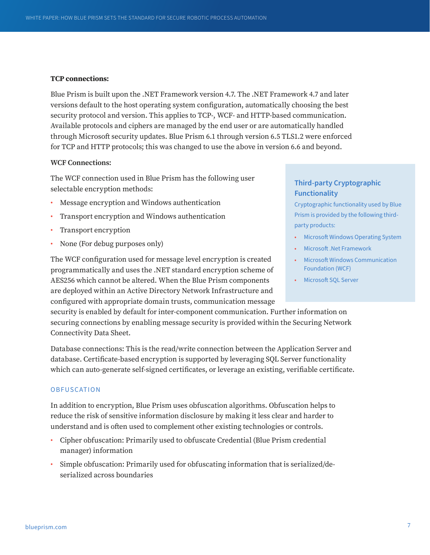#### **TCP connections:**

Blue Prism is built upon the .NET Framework version 4.7. The .NET Framework 4.7 and later versions default to the host operating system configuration, automatically choosing the best security protocol and version. This applies to TCP-, WCF- and HTTP-based communication. Available protocols and ciphers are managed by the end user or are automatically handled through Microsoft security updates. Blue Prism 6.1 through version 6.5 TLS1.2 were enforced for TCP and HTTP protocols; this was changed to use the above in version 6.6 and beyond.

#### **WCF Connections:**

The WCF connection used in Blue Prism has the following user selectable encryption methods:

- Message encryption and Windows authentication
- Transport encryption and Windows authentication
- Transport encryption
- None (For debug purposes only)

The WCF configuration used for message level encryption is created programmatically and uses the .NET standard encryption scheme of AES256 which cannot be altered. When the Blue Prism components are deployed within an Active Directory Network Infrastructure and configured with appropriate domain trusts, communication message **Third-party Cryptographic Functionality**

Cryptographic functionality used by Blue Prism is provided by the following thirdparty products:

- Microsoft Windows Operating System
- Microsoft .Net Framework
- Microsoft Windows Communication Foundation (WCF)
- Microsoft SQL Server

security is enabled by default for inter-component communication. Further information on securing connections by enabling message security is provided within the Securing Network Connectivity Data Sheet.

Database connections: This is the read/write connection between the Application Server and database. Certificate-based encryption is supported by leveraging SQL Server functionality which can auto-generate self-signed certificates, or leverage an existing, verifiable certificate.

## **OBFUSCATION**

In addition to encryption, Blue Prism uses obfuscation algorithms. Obfuscation helps to reduce the risk of sensitive information disclosure by making it less clear and harder to understand and is often used to complement other existing technologies or controls.

- Cipher obfuscation: Primarily used to obfuscate Credential (Blue Prism credential manager) information
- Simple obfuscation: Primarily used for obfuscating information that is serialized/deserialized across boundaries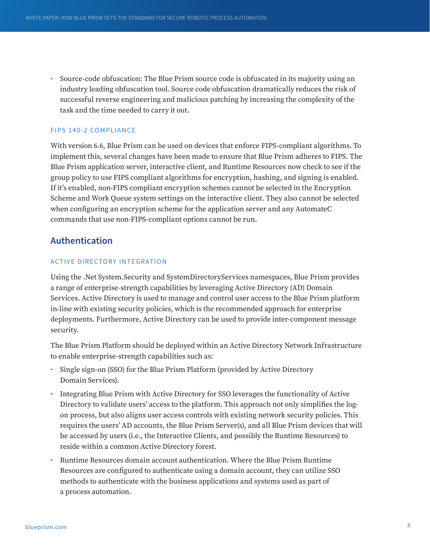• Source-code obfuscation: The Blue Prism source code is obfuscated in its majority using an industry leading obfuscation tool. Source code obfuscation dramatically reduces the risk of successful reverse engineering and malicious patching by increasing the complexity of the task and the time needed to carry it out.

#### **FIPS 140-2 COMPLIANCE**

With version 6.6, Blue Prism can be used on devices that enforce FIPS-compliant algorithms. To implement this, several changes have been made to ensure that Blue Prism adheres to FIPS. The Blue Prism application server, interactive client, and Runtime Resources now check to see if the group policy to use FIPS compliant algorithms for encryption, hashing, and signing is enabled. If it's enabled, non-FIPS compliant encryption schemes cannot be selected in the Encryption Scheme and Work Queue system settings on the interactive client. They also cannot be selected when configuring an encryption scheme for the application server and any AutomateC commands that use non-FIPS-compliant options cannot be run.

## **Authentication**

## ACTIVE DIRECTORY INTEGRATION

Using the .Net System.Security and SystemDirectoryServices namespaces, Blue Prism provides a range of enterprise-strength capabilities by leveraging Active Directory (AD) Domain Services. Active Directory is used to manage and control user access to the Blue Prism platform in-line with existing security policies, which is the recommended approach for enterprise deployments. Furthermore, Active Directory can be used to provide inter-component message security.

The Blue Prism Platform should be deployed within an Active Directory Network Infrastructure to enable enterprise-strength capabilities such as:

- Single sign-on (SSO) for the Blue Prism Platform (provided by Active Directory Domain Services).
- Integrating Blue Prism with Active Directory for SSO leverages the functionality of Active Directory to validate users' access to the platform. This approach not only simplifies the logon process, but also aligns user access controls with existing network security policies. This requires the users' AD accounts, the Blue Prism Server(s), and all Blue Prism devices that will be accessed by users (i.e., the Interactive Clients, and possibly the Runtime Resources) to reside within a common Active Directory forest.
- Runtime Resources domain account authentication. Where the Blue Prism Runtime Resources are configured to authenticate using a domain account, they can utilize SSO methods to authenticate with the business applications and systems used as part of a process automation.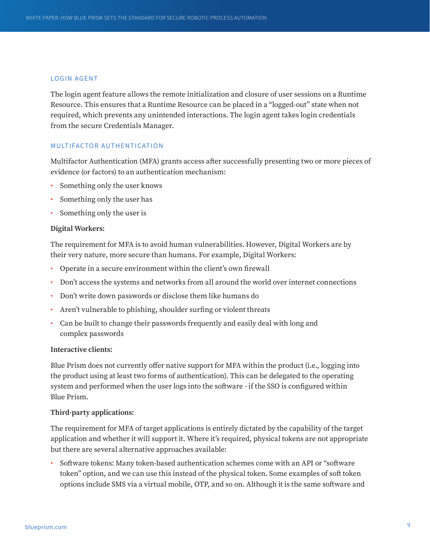#### LOGIN AGENT

The login agent feature allows the remote initialization and closure of user sessions on a Runtime Resource. This ensures that a Runtime Resource can be placed in a "logged-out" state when not required, which prevents any unintended interactions. The login agent takes login credentials from the secure Credentials Manager.

#### MULTIFACTOR AUTHENTICATION

Multifactor Authentication (MFA) grants access after successfully presenting two or more pieces of evidence (or factors) to an authentication mechanism:

- Something only the user knows
- Something only the user has
- Something only the user is

#### **Digital Workers:**

The requirement for MFA is to avoid human vulnerabilities. However, Digital Workers are by their very nature, more secure than humans. For example, Digital Workers:

- Operate in a secure environment within the client's own firewall
- Don't access the systems and networks from all around the world over internet connections
- Don't write down passwords or disclose them like humans do
- Aren't vulnerable to phishing, shoulder surfing or violent threats
- Can be built to change their passwords frequently and easily deal with long and complex passwords

#### **Interactive clients:**

Blue Prism does not currently offer native support for MFA within the product (i.e., logging into the product using at least two forms of authentication). This can be delegated to the operating system and performed when the user logs into the software - if the SSO is configured within Blue Prism.

#### **Third-party applications:**

The requirement for MFA of target applications is entirely dictated by the capability of the target application and whether it will support it. Where it's required, physical tokens are not appropriate but there are several alternative approaches available:

• Software tokens: Many token-based authentication schemes come with an API or "software token" option, and we can use this instead of the physical token. Some examples of soft token options include SMS via a virtual mobile, OTP, and so on. Although it is the same software and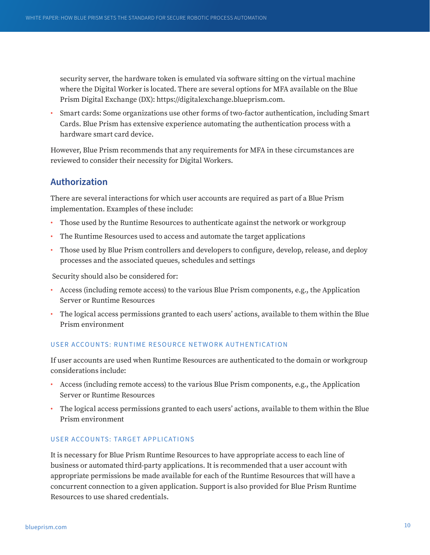security server, the hardware token is emulated via software sitting on the virtual machine where the Digital Worker is located. There are several options for MFA available on the Blue Prism Digital Exchange (DX): https://digitalexchange.blueprism.com.

• Smart cards: Some organizations use other forms of two-factor authentication, including Smart Cards. Blue Prism has extensive experience automating the authentication process with a hardware smart card device.

However, Blue Prism recommends that any requirements for MFA in these circumstances are reviewed to consider their necessity for Digital Workers.

## **Authorization**

There are several interactions for which user accounts are required as part of a Blue Prism implementation. Examples of these include:

- Those used by the Runtime Resources to authenticate against the network or workgroup
- The Runtime Resources used to access and automate the target applications
- Those used by Blue Prism controllers and developers to configure, develop, release, and deploy processes and the associated queues, schedules and settings

Security should also be considered for:

- Access (including remote access) to the various Blue Prism components, e.g., the Application Server or Runtime Resources
- The logical access permissions granted to each users' actions, available to them within the Blue Prism environment

## USER ACCOUNTS: RUNTIME RESOURCE NETWORK AUTHENTICATION

If user accounts are used when Runtime Resources are authenticated to the domain or workgroup considerations include:

- Access (including remote access) to the various Blue Prism components, e.g., the Application Server or Runtime Resources
- The logical access permissions granted to each users' actions, available to them within the Blue Prism environment

## USER ACCOUNTS: TARGET APPLICATIONS

It is necessary for Blue Prism Runtime Resources to have appropriate access to each line of business or automated third-party applications. It is recommended that a user account with appropriate permissions be made available for each of the Runtime Resources that will have a concurrent connection to a given application. Support is also provided for Blue Prism Runtime Resources to use shared credentials.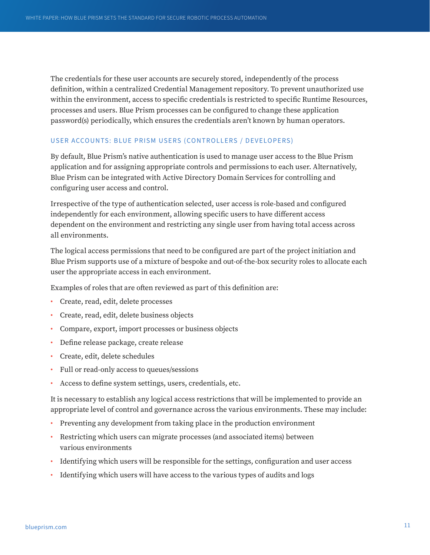The credentials for these user accounts are securely stored, independently of the process definition, within a centralized Credential Management repository. To prevent unauthorized use within the environment, access to specific credentials is restricted to specific Runtime Resources, processes and users. Blue Prism processes can be configured to change these application password(s) periodically, which ensures the credentials aren't known by human operators.

## USER ACCOUNTS: BLUE PRISM USERS (CONTROLLERS / DEVELOPERS)

By default, Blue Prism's native authentication is used to manage user access to the Blue Prism application and for assigning appropriate controls and permissions to each user. Alternatively, Blue Prism can be integrated with Active Directory Domain Services for controlling and configuring user access and control.

Irrespective of the type of authentication selected, user access is role-based and configured independently for each environment, allowing specific users to have different access dependent on the environment and restricting any single user from having total access across all environments.

The logical access permissions that need to be configured are part of the project initiation and Blue Prism supports use of a mixture of bespoke and out-of-the-box security roles to allocate each user the appropriate access in each environment.

Examples of roles that are often reviewed as part of this definition are:

- Create, read, edit, delete processes
- Create, read, edit, delete business objects
- Compare, export, import processes or business objects
- Define release package, create release
- Create, edit, delete schedules
- Full or read-only access to queues/sessions
- Access to define system settings, users, credentials, etc.

It is necessary to establish any logical access restrictions that will be implemented to provide an appropriate level of control and governance across the various environments. These may include:

- Preventing any development from taking place in the production environment
- Restricting which users can migrate processes (and associated items) between various environments
- Identifying which users will be responsible for the settings, configuration and user access
- Identifying which users will have access to the various types of audits and logs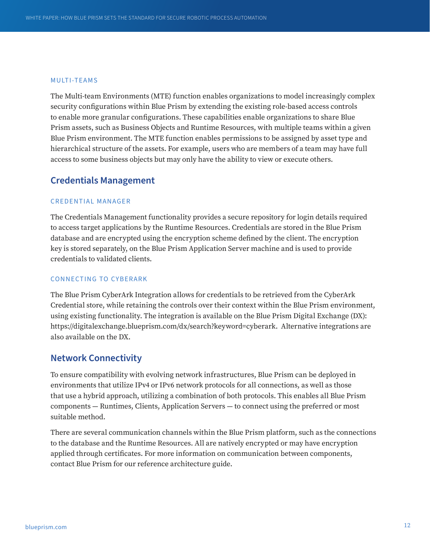#### MULTI-TEAMS

The Multi-team Environments (MTE) function enables organizations to model increasingly complex security configurations within Blue Prism by extending the existing role-based access controls to enable more granular configurations. These capabilities enable organizations to share Blue Prism assets, such as Business Objects and Runtime Resources, with multiple teams within a given Blue Prism environment. The MTE function enables permissions to be assigned by asset type and hierarchical structure of the assets. For example, users who are members of a team may have full access to some business objects but may only have the ability to view or execute others.

## **Credentials Management**

## CREDENTIAL MANAGER

The Credentials Management functionality provides a secure repository for login details required to access target applications by the Runtime Resources. Credentials are stored in the Blue Prism database and are encrypted using the encryption scheme defined by the client. The encryption key is stored separately, on the Blue Prism Application Server machine and is used to provide credentials to validated clients.

## CONNECTING TO CYBERARK

The Blue Prism CyberArk Integration allows for credentials to be retrieved from the CyberArk Credential store, while retaining the controls over their context within the Blue Prism environment, using existing functionality. The integration is available on the Blue Prism Digital Exchange (DX): https://digitalexchange.blueprism.com/dx/search?keyword=cyberark. Alternative integrations are also available on the DX.

## **Network Connectivity**

To ensure compatibility with evolving network infrastructures, Blue Prism can be deployed in environments that utilize IPv4 or IPv6 network protocols for all connections, as well as those that use a hybrid approach, utilizing a combination of both protocols. This enables all Blue Prism components — Runtimes, Clients, Application Servers — to connect using the preferred or most suitable method.

There are several communication channels within the Blue Prism platform, such as the connections to the database and the Runtime Resources. All are natively encrypted or may have encryption applied through certificates. For more information on communication between components, contact Blue Prism for our reference architecture guide.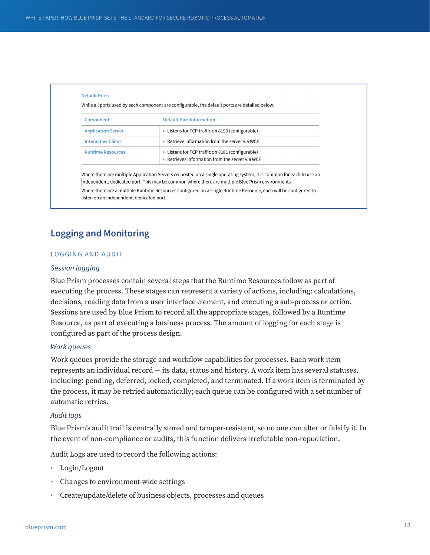| Component                 | <b>Default Port Information</b>                                                                   |
|---------------------------|---------------------------------------------------------------------------------------------------|
| <b>Application Server</b> | • Listens for TCP traffic on 8199 (configurable)                                                  |
| <b>Interactive Client</b> | • Retrieve information from the server via WCF                                                    |
| <b>Runtime Resources</b>  | • Listens for TCP traffic on 8181 (configurable)<br>Retrieves information from the server via WCF |

listen on an independent, dedicated port.

## **Logging and Monitoring**

## LOGGING AND AUDIT

## *Session logging*

Blue Prism processes contain several steps that the Runtime Resources follow as part of executing the process. These stages can represent a variety of actions, including: calculations, decisions, reading data from a user interface element, and executing a sub-process or action. Sessions are used by Blue Prism to record all the appropriate stages, followed by a Runtime Resource, as part of executing a business process. The amount of logging for each stage is configured as part of the process design.

## *Work queues*

Work queues provide the storage and workflow capabilities for processes. Each work item represents an individual record — its data, status and history. A work item has several statuses, including: pending, deferred, locked, completed, and terminated. If a work item is terminated by the process, it may be retried automatically; each queue can be configured with a set number of automatic retries.

#### *Audit logs*

Blue Prism's audit trail is centrally stored and tamper-resistant, so no one can alter or falsify it. In the event of non-compliance or audits, this function delivers irrefutable non-repudiation.

Audit Logs are used to record the following actions:

- Login/Logout
- Changes to environment-wide settings
- Create/update/delete of business objects, processes and queues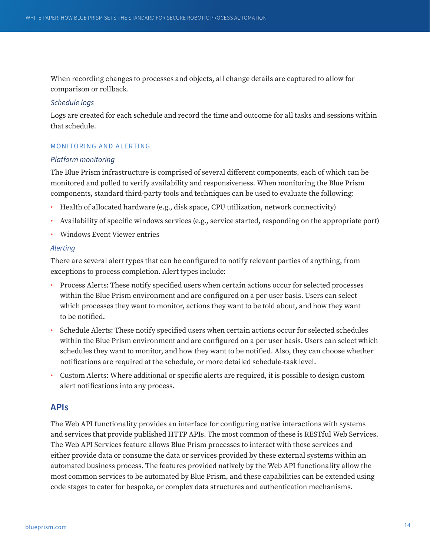When recording changes to processes and objects, all change details are captured to allow for comparison or rollback.

## *Schedule logs*

Logs are created for each schedule and record the time and outcome for all tasks and sessions within that schedule.

## MONITORING AND ALERTING

## *Platform monitoring*

The Blue Prism infrastructure is comprised of several different components, each of which can be monitored and polled to verify availability and responsiveness. When monitoring the Blue Prism components, standard third-party tools and techniques can be used to evaluate the following:

- Health of allocated hardware (e.g., disk space, CPU utilization, network connectivity)
- Availability of specific windows services (e.g., service started, responding on the appropriate port)
- Windows Event Viewer entries

## *Alerting*

There are several alert types that can be configured to notify relevant parties of anything, from exceptions to process completion. Alert types include:

- Process Alerts: These notify specified users when certain actions occur for selected processes within the Blue Prism environment and are configured on a per-user basis. Users can select which processes they want to monitor, actions they want to be told about, and how they want to be notified.
- Schedule Alerts: These notify specified users when certain actions occur for selected schedules within the Blue Prism environment and are configured on a per user basis. Users can select which schedules they want to monitor, and how they want to be notified. Also, they can choose whether notifications are required at the schedule, or more detailed schedule-task level.
- Custom Alerts: Where additional or specific alerts are required, it is possible to design custom alert notifications into any process.

## **APIs**

The Web API functionality provides an interface for configuring native interactions with systems and services that provide published HTTP APIs. The most common of these is RESTful Web Services. The Web API Services feature allows Blue Prism processes to interact with these services and either provide data or consume the data or services provided by these external systems within an automated business process. The features provided natively by the Web API functionality allow the most common services to be automated by Blue Prism, and these capabilities can be extended using code stages to cater for bespoke, or complex data structures and authentication mechanisms.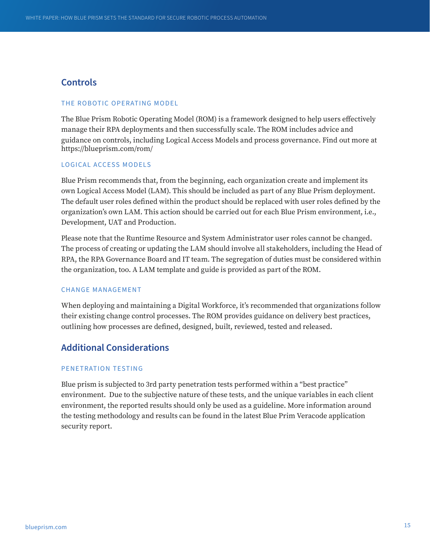## **Controls**

#### THE ROBOTIC OPERATING MODEL

The Blue Prism Robotic Operating Model (ROM) is a framework designed to help users effectively manage their RPA deployments and then successfully scale. The ROM includes advice and guidance on controls, including Logical Access Models and process governance. Find out more at https://blueprism.com/rom/

## LOGICAL ACCESS MODELS

Blue Prism recommends that, from the beginning, each organization create and implement its own Logical Access Model (LAM). This should be included as part of any Blue Prism deployment. The default user roles defined within the product should be replaced with user roles defined by the organization's own LAM. This action should be carried out for each Blue Prism environment, i.e., Development, UAT and Production.

Please note that the Runtime Resource and System Administrator user roles cannot be changed. The process of creating or updating the LAM should involve all stakeholders, including the Head of RPA, the RPA Governance Board and IT team. The segregation of duties must be considered within the organization, too. A LAM template and guide is provided as part of the ROM.

## CHANGE MANAGEMENT

When deploying and maintaining a Digital Workforce, it's recommended that organizations follow their existing change control processes. The ROM provides guidance on delivery best practices, outlining how processes are defined, designed, built, reviewed, tested and released.

## **Additional Considerations**

## PENETRATION TESTING

Blue prism is subjected to 3rd party penetration tests performed within a "best practice" environment. Due to the subjective nature of these tests, and the unique variables in each client environment, the reported results should only be used as a guideline. More information around the testing methodology and results can be found in the latest Blue Prim Veracode application security report.